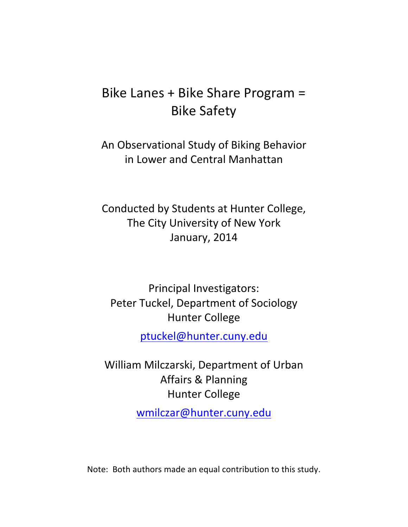# Bike Lanes + Bike Share Program = **Bike Safety**

An Observational Study of Biking Behavior in Lower and Central Manhattan

Conducted by Students at Hunter College, The City University of New York January, 2014

Principal Investigators: Peter Tuckel, Department of Sociology **Hunter College** 

ptuckel@hunter.cuny.edu

William Milczarski, Department of Urban Affairs & Planning **Hunter College** 

wmilczar@hunter.cuny.edu

Note: Both authors made an equal contribution to this study.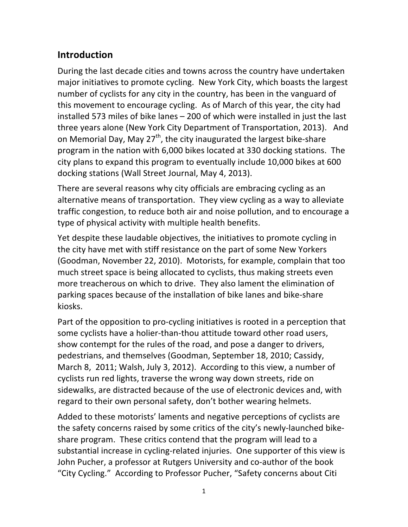## **Introduction**

During the last decade cities and towns across the country have undertaken major initiatives to promote cycling. New York City, which boasts the largest number of cyclists for any city in the country, has been in the vanguard of this movement to encourage cycling. As of March of this year, the city had installed 573 miles of bike lanes  $-$  200 of which were installed in just the last three years alone (New York City Department of Transportation, 2013). And on Memorial Day, May 27<sup>th</sup>, the city inaugurated the largest bike-share program in the nation with 6,000 bikes located at 330 docking stations. The city plans to expand this program to eventually include 10,000 bikes at 600 docking stations (Wall Street Journal, May 4, 2013).

There are several reasons why city officials are embracing cycling as an alternative means of transportation. They view cycling as a way to alleviate traffic congestion, to reduce both air and noise pollution, and to encourage a type of physical activity with multiple health benefits.

Yet despite these laudable objectives, the initiatives to promote cycling in the city have met with stiff resistance on the part of some New Yorkers (Goodman, November 22, 2010). Motorists, for example, complain that too much street space is being allocated to cyclists, thus making streets even more treacherous on which to drive. They also lament the elimination of parking spaces because of the installation of bike lanes and bike-share kiosks.

Part of the opposition to pro-cycling initiatives is rooted in a perception that some cyclists have a holier-than-thou attitude toward other road users, show contempt for the rules of the road, and pose a danger to drivers, pedestrians, and themselves (Goodman, September 18, 2010; Cassidy, March 8, 2011; Walsh, July 3, 2012). According to this view, a number of cyclists run red lights, traverse the wrong way down streets, ride on sidewalks, are distracted because of the use of electronic devices and, with regard to their own personal safety, don't bother wearing helmets.

Added to these motorists' laments and negative perceptions of cyclists are the safety concerns raised by some critics of the city's newly-launched bikeshare program. These critics contend that the program will lead to a substantial increase in cycling-related injuries. One supporter of this view is John Pucher, a professor at Rutgers University and co-author of the book "City Cycling." According to Professor Pucher, "Safety concerns about Citi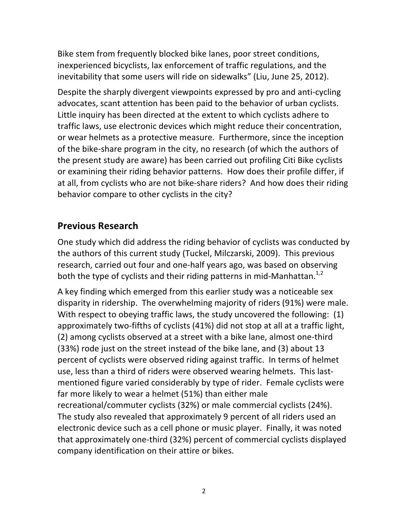Bike stem from frequently blocked bike lanes, poor street conditions, inexperienced bicyclists, lax enforcement of traffic regulations, and the inevitability that some users will ride on sidewalks" (Liu, June 25, 2012).

Despite the sharply divergent viewpoints expressed by pro and anti-cycling advocates, scant attention has been paid to the behavior of urban cyclists. Little inquiry has been directed at the extent to which cyclists adhere to traffic laws, use electronic devices which might reduce their concentration, or wear helmets as a protective measure. Furthermore, since the inception of the bike-share program in the city, no research (of which the authors of the present study are aware) has been carried out profiling Citi Bike cyclists or examining their riding behavior patterns. How does their profile differ, if at all, from cyclists who are not bike-share riders? And how does their riding behavior compare to other cyclists in the city?

### **Previous Research**

One study which did address the riding behavior of cyclists was conducted by the authors of this current study (Tuckel, Milczarski, 2009). This previous research, carried out four and one-half years ago, was based on observing both the type of cyclists and their riding patterns in mid-Manhattan.<sup>1,2</sup>

A key finding which emerged from this earlier study was a noticeable sex disparity in ridership. The overwhelming majority of riders (91%) were male. With respect to obeying traffic laws, the study uncovered the following:  $(1)$ approximately two-fifths of cyclists (41%) did not stop at all at a traffic light, (2) among cyclists observed at a street with a bike lane, almost one-third (33%) rode just on the street instead of the bike lane, and (3) about 13 percent of cyclists were observed riding against traffic. In terms of helmet use, less than a third of riders were observed wearing helmets. This lastmentioned figure varied considerably by type of rider. Female cyclists were far more likely to wear a helmet (51%) than either male recreational/commuter cyclists (32%) or male commercial cyclists (24%).

The study also revealed that approximately 9 percent of all riders used an electronic device such as a cell phone or music player. Finally, it was noted that approximately one-third (32%) percent of commercial cyclists displayed company identification on their attire or bikes.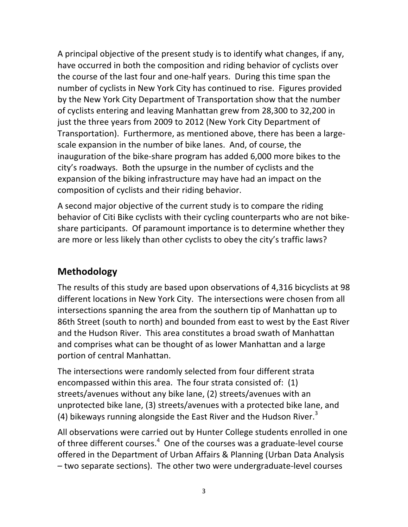A principal objective of the present study is to identify what changes, if any, have occurred in both the composition and riding behavior of cyclists over the course of the last four and one-half years. During this time span the number of cyclists in New York City has continued to rise. Figures provided by the New York City Department of Transportation show that the number of cyclists entering and leaving Manhattan grew from 28,300 to 32,200 in just the three years from 2009 to 2012 (New York City Department of Transportation). Furthermore, as mentioned above, there has been a largescale expansion in the number of bike lanes. And, of course, the inauguration of the bike-share program has added 6,000 more bikes to the city's roadways. Both the upsurge in the number of cyclists and the expansion of the biking infrastructure may have had an impact on the composition of cyclists and their riding behavior.

A second major objective of the current study is to compare the riding behavior of Citi Bike cyclists with their cycling counterparts who are not bikeshare participants. Of paramount importance is to determine whether they are more or less likely than other cyclists to obey the city's traffic laws?

### **Methodology**

The results of this study are based upon observations of 4,316 bicyclists at 98 different locations in New York City. The intersections were chosen from all intersections spanning the area from the southern tip of Manhattan up to 86th Street (south to north) and bounded from east to west by the East River and the Hudson River. This area constitutes a broad swath of Manhattan and comprises what can be thought of as lower Manhattan and a large portion of central Manhattan.

The intersections were randomly selected from four different strata encompassed within this area. The four strata consisted of:  $(1)$ streets/avenues without any bike lane, (2) streets/avenues with an unprotected bike lane, (3) streets/avenues with a protected bike lane, and (4) bikeways running alongside the East River and the Hudson River. $3$ 

All observations were carried out by Hunter College students enrolled in one of three different courses. $4$  One of the courses was a graduate-level course offered in the Department of Urban Affairs & Planning (Urban Data Analysis  $-$  two separate sections). The other two were undergraduate-level courses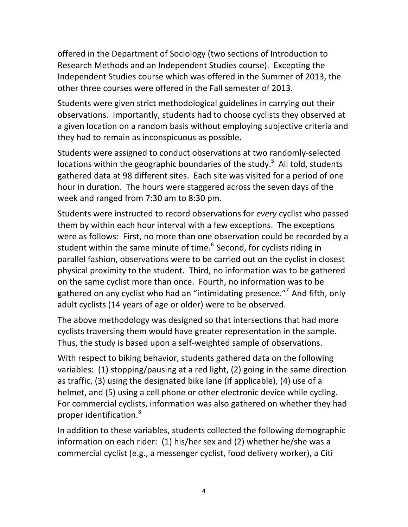offered in the Department of Sociology (two sections of Introduction to Research Methods and an Independent Studies course). Excepting the Independent Studies course which was offered in the Summer of 2013, the other three courses were offered in the Fall semester of 2013.

Students were given strict methodological guidelines in carrying out their observations. Importantly, students had to choose cyclists they observed at a given location on a random basis without employing subjective criteria and they had to remain as inconspicuous as possible.

Students were assigned to conduct observations at two randomly-selected locations within the geographic boundaries of the study.<sup>5</sup> All told, students gathered data at 98 different sites. Each site was visited for a period of one hour in duration. The hours were staggered across the seven days of the week and ranged from 7:30 am to 8:30 pm.

Students were instructed to record observations for *every* cyclist who passed them by within each hour interval with a few exceptions. The exceptions were as follows: First, no more than one observation could be recorded by a student within the same minute of time. $6$  Second, for cyclists riding in parallel fashion, observations were to be carried out on the cyclist in closest physical proximity to the student. Third, no information was to be gathered on the same cyclist more than once. Fourth, no information was to be gathered on any cyclist who had an "intimidating presence."<sup>7</sup> And fifth, only adult cyclists (14 years of age or older) were to be observed.

The above methodology was designed so that intersections that had more cyclists traversing them would have greater representation in the sample. Thus, the study is based upon a self-weighted sample of observations.

With respect to biking behavior, students gathered data on the following variables:  $(1)$  stopping/pausing at a red light,  $(2)$  going in the same direction as traffic, (3) using the designated bike lane (if applicable), (4) use of a helmet, and (5) using a cell phone or other electronic device while cycling. For commercial cyclists, information was also gathered on whether they had proper identification.<sup>8</sup>

In addition to these variables, students collected the following demographic information on each rider:  $(1)$  his/her sex and  $(2)$  whether he/she was a commercial cyclist (e.g., a messenger cyclist, food delivery worker), a Citi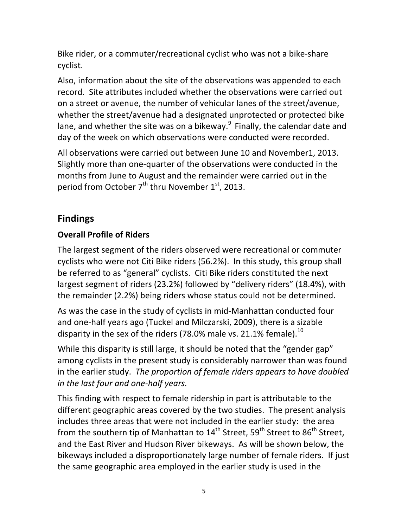Bike rider, or a commuter/recreational cyclist who was not a bike-share cyclist.

Also, information about the site of the observations was appended to each record. Site attributes included whether the observations were carried out on a street or avenue, the number of vehicular lanes of the street/avenue, whether the street/avenue had a designated unprotected or protected bike lane, and whether the site was on a bikeway. $9$  Finally, the calendar date and day of the week on which observations were conducted were recorded.

All observations were carried out between June 10 and November1, 2013. Slightly more than one-quarter of the observations were conducted in the months from June to August and the remainder were carried out in the period from October  $7^{th}$  thru November  $1^{st}$ , 2013.

## **Findings**

### **Overall Profile of Riders**

The largest segment of the riders observed were recreational or commuter cyclists who were not Citi Bike riders (56.2%). In this study, this group shall be referred to as "general" cyclists. Citi Bike riders constituted the next largest segment of riders (23.2%) followed by "delivery riders" (18.4%), with the remainder (2.2%) being riders whose status could not be determined.

As was the case in the study of cyclists in mid-Manhattan conducted four and one-half years ago (Tuckel and Milczarski, 2009), there is a sizable disparity in the sex of the riders (78.0% male vs. 21.1% female).<sup>10</sup>

While this disparity is still large, it should be noted that the "gender gap" among cyclists in the present study is considerably narrower than was found in the earlier study. The proportion of female riders appears to have doubled *in the last four and one-half years.* 

This finding with respect to female ridership in part is attributable to the different geographic areas covered by the two studies. The present analysis includes three areas that were not included in the earlier study: the area from the southern tip of Manhattan to  $14^{th}$  Street,  $59^{th}$  Street to  $86^{th}$  Street, and the East River and Hudson River bikeways. As will be shown below, the bikeways included a disproportionately large number of female riders. If just the same geographic area employed in the earlier study is used in the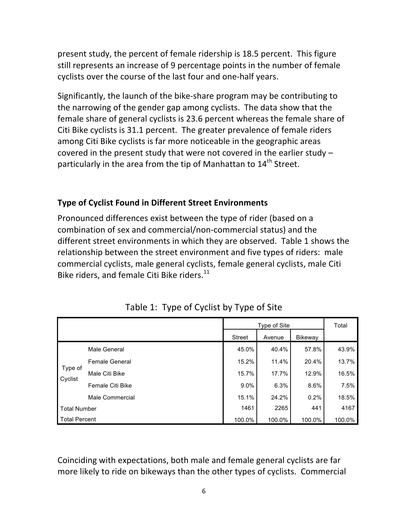present study, the percent of female ridership is 18.5 percent. This figure still represents an increase of 9 percentage points in the number of female cyclists over the course of the last four and one-half years.

Significantly, the launch of the bike-share program may be contributing to the narrowing of the gender gap among cyclists. The data show that the female share of general cyclists is 23.6 percent whereas the female share of Citi Bike cyclists is 31.1 percent. The greater prevalence of female riders among Citi Bike cyclists is far more noticeable in the geographic areas covered in the present study that were not covered in the earlier study  $$ particularly in the area from the tip of Manhattan to  $14<sup>th</sup>$  Street.

#### **Type of Cyclist Found in Different Street Environments**

Pronounced differences exist between the type of rider (based on a combination of sex and commercial/non-commercial status) and the different street environments in which they are observed. Table 1 shows the relationship between the street environment and five types of riders: male commercial cyclists, male general cyclists, female general cyclists, male Citi Bike riders, and female Citi Bike riders. $^{11}$ 

|                      |                  | Type of Site  |        |         | Total  |
|----------------------|------------------|---------------|--------|---------|--------|
|                      |                  | <b>Street</b> | Avenue | Bikeway |        |
| Type of<br>Cyclist   | Male General     | 45.0%         | 40.4%  | 57.8%   | 43.9%  |
|                      | Female General   | 15.2%         | 11.4%  | 20.4%   | 13.7%  |
|                      | Male Citi Bike   | 15.7%         | 17.7%  | 12.9%   | 16.5%  |
|                      | Female Citi Bike | $9.0\%$       | 6.3%   | 8.6%    | 7.5%   |
|                      | Male Commercial  | 15.1%         | 24.2%  | 0.2%    | 18.5%  |
| <b>Total Number</b>  |                  | 1461          | 2265   | 441     | 4167   |
| <b>Total Percent</b> |                  | 100.0%        | 100.0% | 100.0%  | 100.0% |

Table 1: Type of Cyclist by Type of Site

Coinciding with expectations, both male and female general cyclists are far more likely to ride on bikeways than the other types of cyclists. Commercial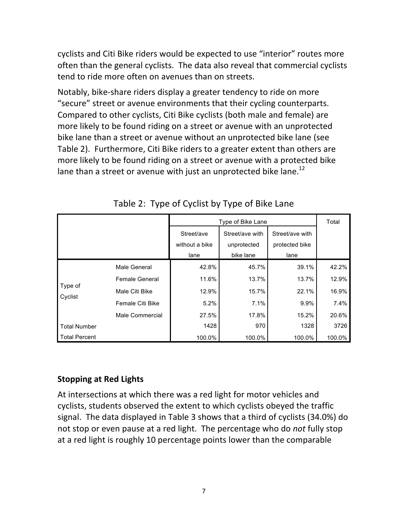cyclists and Citi Bike riders would be expected to use "interior" routes more often than the general cyclists. The data also reveal that commercial cyclists tend to ride more often on avenues than on streets.

Notably, bike-share riders display a greater tendency to ride on more "secure" street or avenue environments that their cycling counterparts. Compared to other cyclists, Citi Bike cyclists (both male and female) are more likely to be found riding on a street or avenue with an unprotected bike lane than a street or avenue without an unprotected bike lane (see Table 2). Furthermore, Citi Bike riders to a greater extent than others are more likely to be found riding on a street or avenue with a protected bike lane than a street or avenue with just an unprotected bike lane.<sup>12</sup>

|                      |                       | Type of Bike Lane                    |                                             |                                           | Total  |
|----------------------|-----------------------|--------------------------------------|---------------------------------------------|-------------------------------------------|--------|
|                      |                       | Street/ave<br>without a bike<br>lane | Street/ave with<br>unprotected<br>bike lane | Street/ave with<br>protected bike<br>lane |        |
|                      | Male General          | 42.8%                                | 45.7%                                       | 39.1%                                     | 42.2%  |
|                      | <b>Female General</b> | 11.6%                                | 13.7%                                       | 13.7%                                     | 12.9%  |
| Type of              | Male Citi Bike        | 12.9%                                | 15.7%                                       | 22.1%                                     | 16.9%  |
| Cyclist              | Female Citi Bike      | 5.2%                                 | 7.1%                                        | 9.9%                                      | 7.4%   |
|                      | Male Commercial       | 27.5%                                | 17.8%                                       | 15.2%                                     | 20.6%  |
| <b>Total Number</b>  |                       | 1428                                 | 970                                         | 1328                                      | 3726   |
| <b>Total Percent</b> |                       | 100.0%                               | 100.0%                                      | 100.0%                                    | 100.0% |

Table 2: Type of Cyclist by Type of Bike Lane

#### **Stopping at Red Lights**

At intersections at which there was a red light for motor vehicles and cyclists, students observed the extent to which cyclists obeyed the traffic signal. The data displayed in Table 3 shows that a third of cyclists (34.0%) do not stop or even pause at a red light. The percentage who do *not* fully stop at a red light is roughly 10 percentage points lower than the comparable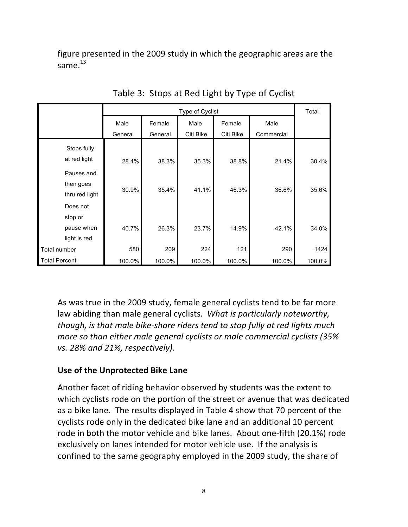figure presented in the 2009 study in which the geographic areas are the same $^{13}$ 

|                      | Type of Cyclist |         |           |           | Total      |        |
|----------------------|-----------------|---------|-----------|-----------|------------|--------|
|                      | Male            | Female  | Male      | Female    | Male       |        |
|                      | General         | General | Citi Bike | Citi Bike | Commercial |        |
| Stops fully          |                 |         |           |           |            |        |
| at red light         | 28.4%           | 38.3%   | 35.3%     | 38.8%     | 21.4%      | 30.4%  |
| Pauses and           |                 |         |           |           |            |        |
| then goes            | 30.9%           | 35.4%   | 41.1%     | 46.3%     | 36.6%      | 35.6%  |
| thru red light       |                 |         |           |           |            |        |
| Does not             |                 |         |           |           |            |        |
| stop or              |                 |         |           |           |            |        |
| pause when           | 40.7%           | 26.3%   | 23.7%     | 14.9%     | 42.1%      | 34.0%  |
| light is red         |                 |         |           |           |            |        |
| Total number         | 580             | 209     | 224       | 121       | 290        | 1424   |
| <b>Total Percent</b> | 100.0%          | 100.0%  | 100.0%    | 100.0%    | 100.0%     | 100.0% |

Table 3: Stops at Red Light by Type of Cyclist

As was true in the 2009 study, female general cyclists tend to be far more law abiding than male general cyclists. What is particularly noteworthy, *though, is that male bike-share riders tend to stop fully at red lights much more so than either male general cyclists or male commercial cyclists (35% vs. 28% and 21%, respectively).*

#### **Use of the Unprotected Bike Lane**

Another facet of riding behavior observed by students was the extent to which cyclists rode on the portion of the street or avenue that was dedicated as a bike lane. The results displayed in Table 4 show that 70 percent of the cyclists rode only in the dedicated bike lane and an additional 10 percent rode in both the motor vehicle and bike lanes. About one-fifth (20.1%) rode exclusively on lanes intended for motor vehicle use. If the analysis is confined to the same geography employed in the 2009 study, the share of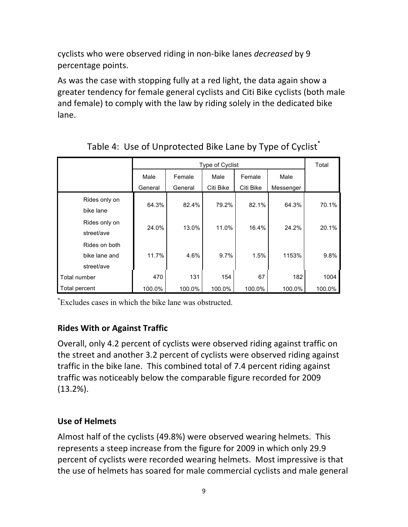cyclists who were observed riding in non-bike lanes *decreased* by 9 percentage points.

As was the case with stopping fully at a red light, the data again show a greater tendency for female general cyclists and Citi Bike cyclists (both male and female) to comply with the law by riding solely in the dedicated bike lane.

|                                              | Type of Cyclist |         |           |           | Total     |        |
|----------------------------------------------|-----------------|---------|-----------|-----------|-----------|--------|
|                                              | Male            | Female  | Male      | Female    | Male      |        |
|                                              | General         | General | Citi Bike | Citi Bike | Messenger |        |
| Rides only on<br>bike lane                   | 64.3%           | 82.4%   | 79.2%     | 82.1%     | 64.3%     | 70.1%  |
| Rides only on<br>street/ave                  | 24.0%           | 13.0%   | 11.0%     | 16.4%     | 24.2%     | 20.1%  |
| Rides on both<br>bike lane and<br>street/ave | 11.7%           | 4.6%    | 9.7%      | 1.5%      | 1153%     | 9.8%   |
| Total number                                 | 470             | 131     | 154       | 67        | 182       | 1004   |
| Total percent                                | 100.0%          | 100.0%  | 100.0%    | 100.0%    | 100.0%    | 100.0% |

# Table 4: Use of Unprotected Bike Lane by Type of Cyclist<sup>\*</sup>

\* Excludes cases in which the bike lane was obstructed.

#### **Rides With or Against Traffic**

Overall, only 4.2 percent of cyclists were observed riding against traffic on the street and another 3.2 percent of cyclists were observed riding against traffic in the bike lane. This combined total of 7.4 percent riding against traffic was noticeably below the comparable figure recorded for 2009 (13.2%).

#### **Use of Helmets**

Almost half of the cyclists (49.8%) were observed wearing helmets. This represents a steep increase from the figure for 2009 in which only 29.9 percent of cyclists were recorded wearing helmets. Most impressive is that the use of helmets has soared for male commercial cyclists and male general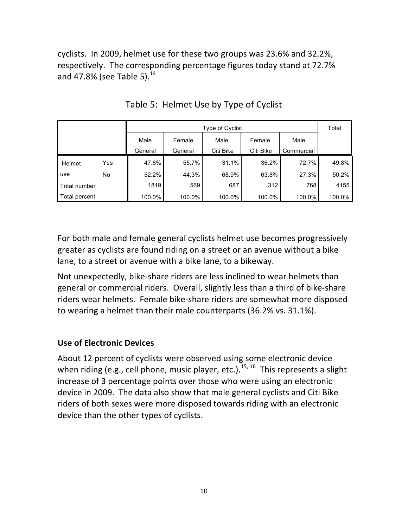cyclists. In 2009, helmet use for these two groups was 23.6% and 32.2%, respectively. The corresponding percentage figures today stand at 72.7% and 47.8% (see Table 5).<sup>14</sup>

|               |     | Type of Cyclist |         |           |           |            | Total  |
|---------------|-----|-----------------|---------|-----------|-----------|------------|--------|
|               |     | Male            | Female  | Male      | Female    | Male       |        |
|               |     | General         | General | Citi Bike | Citi Bike | Commercial |        |
| Helmet        | Yes | 47.8%           | 55.7%   | 31.1%     | 36.2%     | 72.7%      | 49.8%  |
| use           | No  | 52.2%           | 44.3%   | 68.9%     | 63.8%     | 27.3%      | 50.2%  |
| Total number  |     | 1819            | 569     | 687       | 312       | 768        | 4155   |
| Total percent |     | 100.0%          | 100.0%  | 100.0%    | 100.0%    | 100.0%     | 100.0% |

Table 5: Helmet Use by Type of Cyclist

For both male and female general cyclists helmet use becomes progressively greater as cyclists are found riding on a street or an avenue without a bike lane, to a street or avenue with a bike lane, to a bikeway.

Not unexpectedly, bike-share riders are less inclined to wear helmets than general or commercial riders. Overall, slightly less than a third of bike-share riders wear helmets. Female bike-share riders are somewhat more disposed to wearing a helmet than their male counterparts (36.2% vs. 31.1%).

#### **Use of Electronic Devices**

About 12 percent of cyclists were observed using some electronic device when riding (e.g., cell phone, music player, etc.).<sup>15, 16</sup> This represents a slight increase of 3 percentage points over those who were using an electronic device in 2009. The data also show that male general cyclists and Citi Bike riders of both sexes were more disposed towards riding with an electronic device than the other types of cyclists.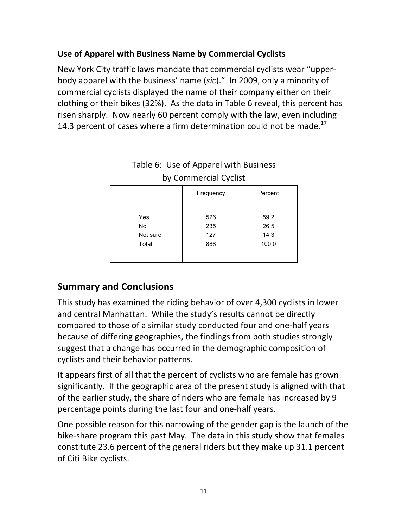### Use of Apparel with Business Name by Commercial Cyclists

New York City traffic laws mandate that commercial cyclists wear "upperbody apparel with the business' name (sic)." In 2009, only a minority of commercial cyclists displayed the name of their company either on their clothing or their bikes (32%). As the data in Table 6 reveal, this percent has risen sharply. Now nearly 60 percent comply with the law, even including 14.3 percent of cases where a firm determination could not be made. $^{17}$ 

| $\sim$ , commencional cyclic $\sim$ |                          |                               |  |  |  |  |
|-------------------------------------|--------------------------|-------------------------------|--|--|--|--|
|                                     | Frequency                | Percent                       |  |  |  |  |
| Yes<br>No<br>Not sure<br>Total      | 526<br>235<br>127<br>888 | 59.2<br>26.5<br>14.3<br>100.0 |  |  |  |  |

# Table 6: Use of Apparel with Business by Commercial Cyclist

### **Summary and Conclusions**

This study has examined the riding behavior of over 4,300 cyclists in lower and central Manhattan. While the study's results cannot be directly compared to those of a similar study conducted four and one-half years because of differing geographies, the findings from both studies strongly suggest that a change has occurred in the demographic composition of cyclists and their behavior patterns.

It appears first of all that the percent of cyclists who are female has grown significantly. If the geographic area of the present study is aligned with that of the earlier study, the share of riders who are female has increased by 9 percentage points during the last four and one-half years.

One possible reason for this narrowing of the gender gap is the launch of the bike-share program this past May. The data in this study show that females constitute 23.6 percent of the general riders but they make up 31.1 percent of Citi Bike cyclists.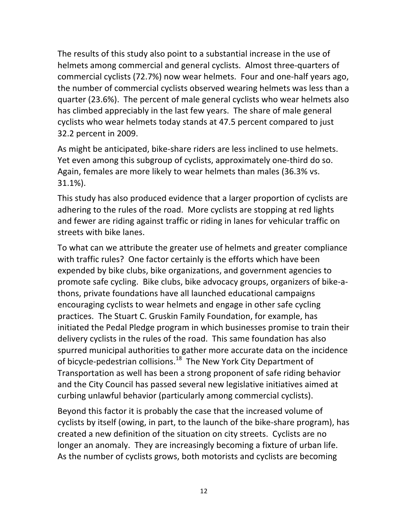The results of this study also point to a substantial increase in the use of helmets among commercial and general cyclists. Almost three-quarters of commercial cyclists (72.7%) now wear helmets. Four and one-half years ago, the number of commercial cyclists observed wearing helmets was less than a quarter (23.6%). The percent of male general cyclists who wear helmets also has climbed appreciably in the last few years. The share of male general cyclists who wear helmets today stands at 47.5 percent compared to just 32.2 percent in 2009.

As might be anticipated, bike-share riders are less inclined to use helmets. Yet even among this subgroup of cyclists, approximately one-third do so. Again, females are more likely to wear helmets than males (36.3% vs. 31.1%).

This study has also produced evidence that a larger proportion of cyclists are adhering to the rules of the road. More cyclists are stopping at red lights and fewer are riding against traffic or riding in lanes for vehicular traffic on streets with bike lanes.

To what can we attribute the greater use of helmets and greater compliance with traffic rules? One factor certainly is the efforts which have been expended by bike clubs, bike organizations, and government agencies to promote safe cycling. Bike clubs, bike advocacy groups, organizers of bike-athons, private foundations have all launched educational campaigns encouraging cyclists to wear helmets and engage in other safe cycling practices. The Stuart C. Gruskin Family Foundation, for example, has initiated the Pedal Pledge program in which businesses promise to train their delivery cyclists in the rules of the road. This same foundation has also spurred municipal authorities to gather more accurate data on the incidence of bicycle-pedestrian collisions.<sup>18</sup> The New York City Department of Transportation as well has been a strong proponent of safe riding behavior and the City Council has passed several new legislative initiatives aimed at curbing unlawful behavior (particularly among commercial cyclists).

Beyond this factor it is probably the case that the increased volume of cyclists by itself (owing, in part, to the launch of the bike-share program), has created a new definition of the situation on city streets. Cyclists are no longer an anomaly. They are increasingly becoming a fixture of urban life. As the number of cyclists grows, both motorists and cyclists are becoming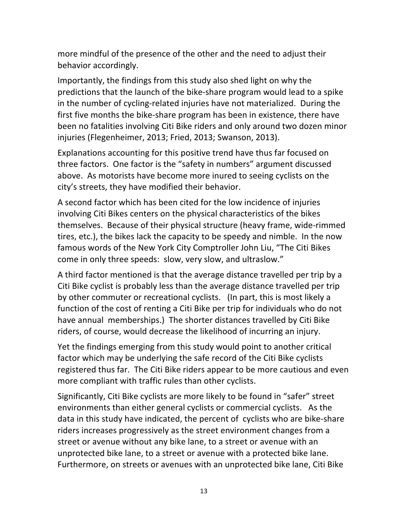more mindful of the presence of the other and the need to adjust their behavior accordingly.

Importantly, the findings from this study also shed light on why the predictions that the launch of the bike-share program would lead to a spike in the number of cycling-related injuries have not materialized. During the first five months the bike-share program has been in existence, there have been no fatalities involving Citi Bike riders and only around two dozen minor injuries (Flegenheimer, 2013; Fried, 2013; Swanson, 2013).

Explanations accounting for this positive trend have thus far focused on three factors. One factor is the "safety in numbers" argument discussed above. As motorists have become more inured to seeing cyclists on the city's streets, they have modified their behavior.

A second factor which has been cited for the low incidence of injuries involving Citi Bikes centers on the physical characteristics of the bikes themselves. Because of their physical structure (heavy frame, wide-rimmed tires, etc.), the bikes lack the capacity to be speedy and nimble. In the now famous words of the New York City Comptroller John Liu, "The Citi Bikes come in only three speeds: slow, very slow, and ultraslow."

A third factor mentioned is that the average distance travelled per trip by a Citi Bike cyclist is probably less than the average distance travelled per trip by other commuter or recreational cyclists. (In part, this is most likely a function of the cost of renting a Citi Bike per trip for individuals who do not have annual memberships.) The shorter distances travelled by Citi Bike riders, of course, would decrease the likelihood of incurring an injury.

Yet the findings emerging from this study would point to another critical factor which may be underlying the safe record of the Citi Bike cyclists registered thus far. The Citi Bike riders appear to be more cautious and even more compliant with traffic rules than other cyclists.

Significantly, Citi Bike cyclists are more likely to be found in "safer" street environments than either general cyclists or commercial cyclists. As the data in this study have indicated, the percent of cyclists who are bike-share riders increases progressively as the street environment changes from a street or avenue without any bike lane, to a street or avenue with an unprotected bike lane, to a street or avenue with a protected bike lane. Furthermore, on streets or avenues with an unprotected bike lane, Citi Bike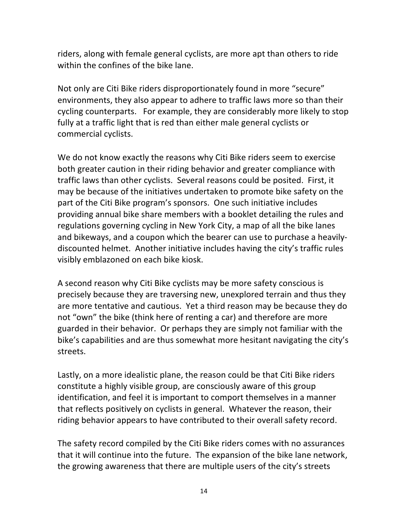riders, along with female general cyclists, are more apt than others to ride within the confines of the bike lane.

Not only are Citi Bike riders disproportionately found in more "secure" environments, they also appear to adhere to traffic laws more so than their cycling counterparts. For example, they are considerably more likely to stop fully at a traffic light that is red than either male general cyclists or commercial cyclists.

We do not know exactly the reasons why Citi Bike riders seem to exercise both greater caution in their riding behavior and greater compliance with traffic laws than other cyclists. Several reasons could be posited. First, it may be because of the initiatives undertaken to promote bike safety on the part of the Citi Bike program's sponsors. One such initiative includes providing annual bike share members with a booklet detailing the rules and regulations governing cycling in New York City, a map of all the bike lanes and bikeways, and a coupon which the bearer can use to purchase a heavilydiscounted helmet. Another initiative includes having the city's traffic rules visibly emblazoned on each bike kiosk.

A second reason why Citi Bike cyclists may be more safety conscious is precisely because they are traversing new, unexplored terrain and thus they are more tentative and cautious. Yet a third reason may be because they do not "own" the bike (think here of renting a car) and therefore are more guarded in their behavior. Or perhaps they are simply not familiar with the bike's capabilities and are thus somewhat more hesitant navigating the city's streets.

Lastly, on a more idealistic plane, the reason could be that Citi Bike riders constitute a highly visible group, are consciously aware of this group identification, and feel it is important to comport themselves in a manner that reflects positively on cyclists in general. Whatever the reason, their riding behavior appears to have contributed to their overall safety record.

The safety record compiled by the Citi Bike riders comes with no assurances that it will continue into the future. The expansion of the bike lane network, the growing awareness that there are multiple users of the city's streets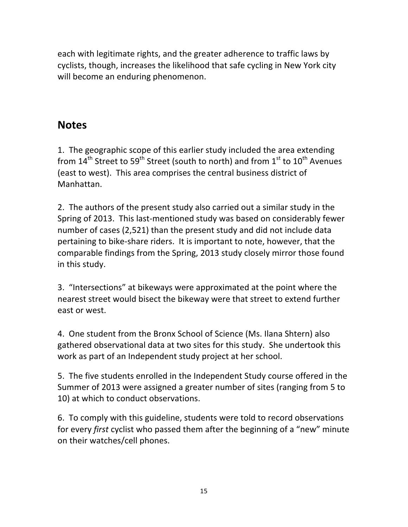each with legitimate rights, and the greater adherence to traffic laws by cyclists, though, increases the likelihood that safe cycling in New York city will become an enduring phenomenon.

# **Notes**

1. The geographic scope of this earlier study included the area extending from  $14^{\text{th}}$  Street to 59<sup>th</sup> Street (south to north) and from  $1^{\text{st}}$  to  $10^{\text{th}}$  Avenues (east to west). This area comprises the central business district of Manhattan.

2. The authors of the present study also carried out a similar study in the Spring of 2013. This last-mentioned study was based on considerably fewer number of cases (2,521) than the present study and did not include data pertaining to bike-share riders. It is important to note, however, that the comparable findings from the Spring, 2013 study closely mirror those found in this study.

3. "Intersections" at bikeways were approximated at the point where the nearest street would bisect the bikeway were that street to extend further east or west.

4. One student from the Bronx School of Science (Ms. Ilana Shtern) also gathered observational data at two sites for this study. She undertook this work as part of an Independent study project at her school.

5. The five students enrolled in the Independent Study course offered in the Summer of 2013 were assigned a greater number of sites (ranging from 5 to 10) at which to conduct observations.

6. To comply with this guideline, students were told to record observations for every *first* cyclist who passed them after the beginning of a "new" minute on their watches/cell phones.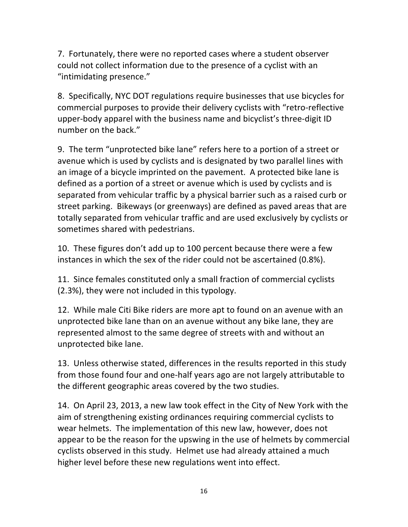7. Fortunately, there were no reported cases where a student observer could not collect information due to the presence of a cyclist with an "intimidating presence."

8. Specifically, NYC DOT regulations require businesses that use bicycles for commercial purposes to provide their delivery cyclists with "retro-reflective upper-body apparel with the business name and bicyclist's three-digit ID number on the back."

9. The term "unprotected bike lane" refers here to a portion of a street or avenue which is used by cyclists and is designated by two parallel lines with an image of a bicycle imprinted on the pavement. A protected bike lane is defined as a portion of a street or avenue which is used by cyclists and is separated from vehicular traffic by a physical barrier such as a raised curb or street parking. Bikeways (or greenways) are defined as paved areas that are totally separated from vehicular traffic and are used exclusively by cyclists or sometimes shared with pedestrians.

10. These figures don't add up to 100 percent because there were a few instances in which the sex of the rider could not be ascertained (0.8%).

11. Since females constituted only a small fraction of commercial cyclists  $(2.3%)$ , they were not included in this typology.

12. While male Citi Bike riders are more apt to found on an avenue with an unprotected bike lane than on an avenue without any bike lane, they are represented almost to the same degree of streets with and without an unprotected bike lane.

13. Unless otherwise stated, differences in the results reported in this study from those found four and one-half years ago are not largely attributable to the different geographic areas covered by the two studies.

14. On April 23, 2013, a new law took effect in the City of New York with the aim of strengthening existing ordinances requiring commercial cyclists to wear helmets. The implementation of this new law, however, does not appear to be the reason for the upswing in the use of helmets by commercial cyclists observed in this study. Helmet use had already attained a much higher level before these new regulations went into effect.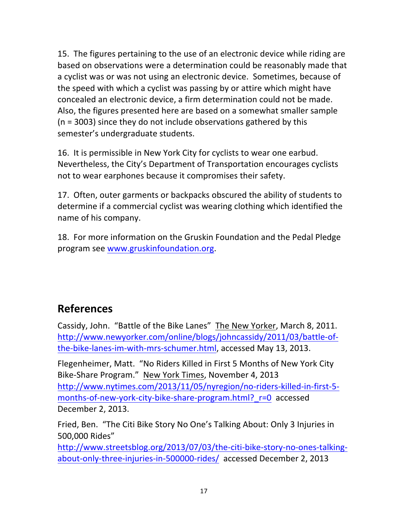15. The figures pertaining to the use of an electronic device while riding are based on observations were a determination could be reasonably made that a cyclist was or was not using an electronic device. Sometimes, because of the speed with which a cyclist was passing by or attire which might have concealed an electronic device, a firm determination could not be made. Also, the figures presented here are based on a somewhat smaller sample  $(n = 3003)$  since they do not include observations gathered by this semester's undergraduate students.

16. It is permissible in New York City for cyclists to wear one earbud. Nevertheless, the City's Department of Transportation encourages cyclists not to wear earphones because it compromises their safety.

17. Often, outer garments or backpacks obscured the ability of students to determine if a commercial cyclist was wearing clothing which identified the name of his company.

18. For more information on the Gruskin Foundation and the Pedal Pledge program see www.gruskinfoundation.org.

# **References**

Cassidy, John. "Battle of the Bike Lanes" The New Yorker, March 8, 2011. http://www.newyorker.com/online/blogs/johncassidy/2011/03/battle-ofthe-bike-lanes-im-with-mrs-schumer.html, accessed May 13, 2013.

Flegenheimer, Matt. "No Riders Killed in First 5 Months of New York City Bike-Share Program." New York Times, November 4, 2013 http://www.nytimes.com/2013/11/05/nyregion/no-riders-killed-in-first-5 months-of-new-york-city-bike-share-program.html? r=0 accessed December 2, 2013.

Fried, Ben. "The Citi Bike Story No One's Talking About: Only 3 Injuries in 500,000 Rides"

http://www.streetsblog.org/2013/07/03/the-citi-bike-story-no-ones-talkingabout-only-three-injuries-in-500000-rides/ accessed December 2, 2013